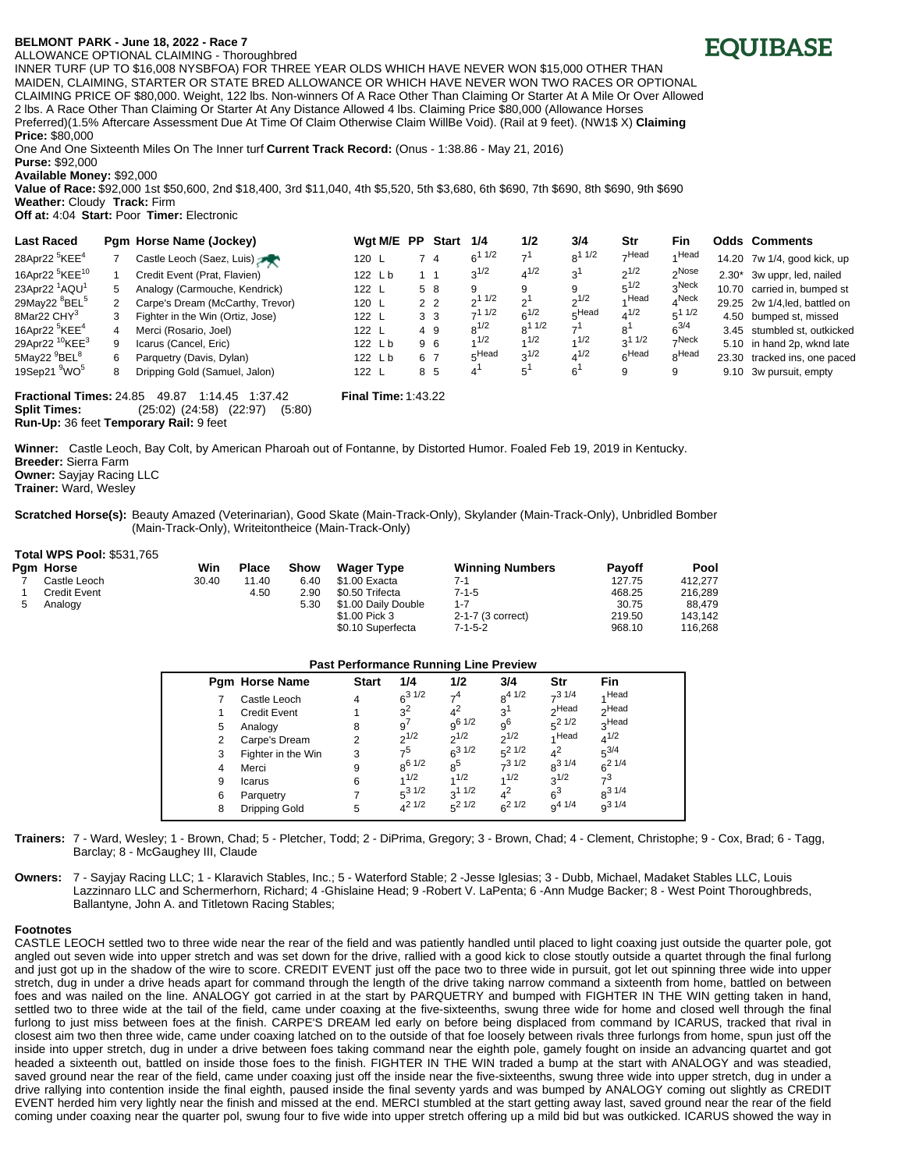## **BELMONT <sup>&</sup>lt;PARK - June 18, 2022 - Race 7**

ALLOWANCE OPTIONAL CLAIMING - Thoroughbred

INNER TURF (UP TO \$16,008 NYSBFOA) FOR THREE YEAR OLDS WHICH HAVE NEVER WON \$15,000 OTHER THAN MAIDEN, CLAIMING, STARTER OR STATE BRED ALLOWANCE OR WHICH HAVE NEVER WON TWO RACES OR OPTIONAL CLAIMING PRICE OF \$80,000. Weight, 122 lbs. Non-winners Of A Race Other Than Claiming Or Starter At A Mile Or Over Allowed 2 lbs. A Race Other Than Claiming Or Starter At Any Distance Allowed 4 lbs. Claiming Price \$80,000 (Allowance Horses Preferred)(1.5% Aftercare Assessment Due At Time Of Claim Otherwise Claim WillBe Void). (Rail at 9 feet). (NW1\$ X) **Claiming Price:** \$80,000

One And One Sixteenth Miles On The Inner turf **Current Track Record:** (Onus - 1:38.86 - May 21, 2016) **Purse:** \$92,000

**Available Money:** \$92,000

**Value of Race:** \$92,000 1st \$50,600, 2nd \$18,400, 3rd \$11,040, 4th \$5,520, 5th \$3,680, 6th \$690, 7th \$690, 8th \$690, 9th \$690

**Weather:** Cloudy **Track:** Firm **Off at:** 4:04 **Start:** Poor **Timer:** Electronic

| <b>Last Raced</b>                      |                                                                                             | Pam Horse Name (Jockey)          | Wgt M/E PP |  | <b>Start</b>   | 1/4        | 1/2        | 3/4            | Str         | Fin               | <b>Odds Comments</b>          |
|----------------------------------------|---------------------------------------------------------------------------------------------|----------------------------------|------------|--|----------------|------------|------------|----------------|-------------|-------------------|-------------------------------|
| 28Apr22 <sup>5</sup> KEE <sup>4</sup>  |                                                                                             | Castle Leoch (Saez, Luis)        | 120 L      |  | 4              | $6^{11/2}$ | $-1$       | $8^{11/2}$     | $\neg$ Head | 4 Head            | 14.20 7w 1/4, good kick, up   |
| 16Apr22 <sup>5</sup> KEE <sup>10</sup> |                                                                                             | Credit Event (Prat, Flavien)     | 122Lb      |  |                | $3^{1/2}$  | $4^{1/2}$  | 3 <sup>1</sup> | $2^{1/2}$   | <sub>2</sub> Nose | 2.30* 3w uppr, led, nailed    |
| 23Apr22 <sup>1</sup> AQU <sup>1</sup>  | 5                                                                                           | Analogy (Carmouche, Kendrick)    | 122 L      |  | 5 8            |            | 9          | 9              | $5^{1/2}$   | $3^{\text{Neck}}$ | 10.70 carried in, bumped st   |
| 29May22 <sup>8</sup> BEL <sup>5</sup>  |                                                                                             | Carpe's Dream (McCarthy, Trevor) | 120 L      |  | 2 <sub>2</sub> | 211/2      | ו פ        | $2^{1/2}$      | 4 Head      | $4$ Neck          | 29.25 2w 1/4, led, battled on |
| 8Mar22 CHY <sup>3</sup>                | 3                                                                                           | Fighter in the Win (Ortiz, Jose) | 122 L      |  | 3 <sub>3</sub> | $-11/2$    | $6^{1/2}$  | 5Head          | $4^{1/2}$   | $5^1$ $1/2$       | 4.50 bumped st, missed        |
| 16Apr22 <sup>5</sup> KEE <sup>4</sup>  | 4                                                                                           | Merci (Rosario, Joel)            | 122 L      |  | 4 9            | $8^{1/2}$  | $8^{11/2}$ | 7 <sup>1</sup> | 8'          | $6^{3/4}$         | 3.45 stumbled st, outkicked   |
| 29Apr22 <sup>10</sup> KEE <sup>3</sup> | 9                                                                                           | Icarus (Cancel, Eric)            | 122 Lb     |  | 96             | 1/2        | 1/2        | 1/2            | $3^{11/2}$  | $\neg$ Neck       | 5.10 in hand 2p, wknd late    |
| 5May22 <sup>9</sup> BEL <sup>8</sup>   | 6                                                                                           | Parquetry (Davis, Dylan)         | 122Lb      |  | 6 7            | FHead      | $2^{1/2}$  | $4^{1/2}$      | 6Head       | <sub>8</sub> Head | 23.30 tracked ins, one paced  |
| 19Sep21 <sup>9</sup> WO <sup>5</sup>   | 8                                                                                           | Dripping Gold (Samuel, Jalon)    | 122 L      |  | 8 5            |            | 5          | 6'             | 9           | 9                 | 9.10 3w pursuit, empty        |
|                                        | <b>Fractional Times: 24.85</b><br><b>Final Time: 1:43.22</b><br>49.87<br>1:37.42<br>1:14.45 |                                  |            |  |                |            |            |                |             |                   |                               |

**Split Times:** (25:02) (24:58) (22:97) (5:80) **Run-Up:** 36 feet **Temporary Rail:** 9 feet

**Winner:** Castle Leoch, Bay Colt, by American Pharoah out of Fontanne, by Distorted Humor. Foaled Feb 19, 2019 in Kentucky.

**Breeder:** Sierra Farm **Owner:** Sayjay Racing LLC

**Total WPS Pool:** \$531,765

**Trainer:** Ward, Wesley

**Scratched Horse(s):** Beauty Amazed (Veterinarian), Good Skate (Main-Track-Only), Skylander (Main-Track-Only), Unbridled Bomber (Main-Track-Only), Writeitontheice (Main-Track-Only)

| $10$ tal WPS POOI: \$531,765 |       |              |      |                     |                        |               |         |
|------------------------------|-------|--------------|------|---------------------|------------------------|---------------|---------|
| Pam Horse                    | Win   | <b>Place</b> | Show | <b>Wager Type</b>   | <b>Winning Numbers</b> | <b>Pavoff</b> | Pool    |
| Castle Leoch                 | 30.40 | 11.40        | 6.40 | \$1.00 Exacta       | 7-1                    | 127.75        | 412.277 |
| Credit Event                 |       | 4.50         | 2.90 | \$0.50 Trifecta     | 7-1-5                  | 468.25        | 216.289 |
| Analogy                      |       |              | 5.30 | \$1.00 Daily Double | $1 - 7$                | 30.75         | 88.479  |
|                              |       |              |      | \$1.00 Pick 3       | 2-1-7 (3 correct)      | 219.50        | 143.142 |
|                              |       |              |      | \$0.10 Superfecta   | $7 - 1 - 5 - 2$        | 968.10        | 116.268 |

| <b>Past Performance Running Line Preview</b> |   |                       |              |                |                |                |                   |                   |  |  |
|----------------------------------------------|---|-----------------------|--------------|----------------|----------------|----------------|-------------------|-------------------|--|--|
|                                              |   | <b>Pam Horse Name</b> | <b>Start</b> | 1/4            | 1/2            | 3/4            | Str               | Fin               |  |  |
|                                              |   | Castle Leoch          | 4            | $6^{31/2}$     | 7 <sup>4</sup> | $8^{4}$ 1/2    | $-31/4$           | 4 Head            |  |  |
|                                              |   | <b>Credit Event</b>   |              | $3^2$          | $4^2$          | 3 <sup>1</sup> | <sub>2</sub> Head | <sub>2</sub> Head |  |  |
|                                              | 5 | Analogy               | 8            | 9 <sup>′</sup> | $q^{6}$ 1/2    | 9 <sup>6</sup> | $5^2$ 1/2         | <sub>2</sub> Head |  |  |
|                                              | 2 | Carpe's Dream         | 2            | $2^{1/2}$      | $2^{1/2}$      | $2^{1/2}$      | 4 Head            | $4^{1/2}$         |  |  |
|                                              | 3 | Fighter in the Win    | 3            | 7 <sup>5</sup> | $6^{31/2}$     | $5^2$ 1/2      | $4^2$             | $5^{3/4}$         |  |  |
|                                              | 4 | Merci                 | 9            | $R^{6}1/2$     | $8^5$          | $7^3$ 1/2      | $R^{31/4}$        | $6^{21/4}$        |  |  |
|                                              | 9 | Icarus                | 6            | 1/2            | 1/2            | 1/2            | $3^{1/2}$         | $7^3$             |  |  |
|                                              | 6 | Parquetry             |              | $5^3$ 1/2      | $3^{11/2}$     | $4^2$          | 6 <sup>3</sup>    | $8^{31/4}$        |  |  |
|                                              | 8 | Dripping Gold         | 5            | $A^2$ 1/2      | $5^2$ 1/2      | $6^{21/2}$     | $q^{4}$ 1/4       | $q^{31/4}$        |  |  |
|                                              |   |                       |              |                |                |                |                   |                   |  |  |

**Trainers:** 7 - Ward, Wesley; 1 - Brown, Chad; 5 - Pletcher, Todd; 2 - DiPrima, Gregory; 3 - Brown, Chad; 4 - Clement, Christophe; 9 - Cox, Brad; 6 - Tagg, Barclay; 8 - McGaughey III, Claude

**Owners:** 7 - Sayjay Racing LLC; 1 - Klaravich Stables, Inc.; 5 - Waterford Stable; 2 -Jesse Iglesias; 3 - Dubb, Michael, Madaket Stables LLC, Louis Lazzinnaro LLC and Schermerhorn, Richard; 4 -Ghislaine Head; 9 -Robert V. LaPenta; 6 -Ann Mudge Backer; 8 - West Point Thoroughbreds, Ballantyne, John A. and Titletown Racing Stables;

## **Footnotes**

CASTLE LEOCH settled two to three wide near the rear of the field and was patiently handled until placed to light coaxing just outside the quarter pole, got angled out seven wide into upper stretch and was set down for the drive, rallied with a good kick to close stoutly outside a quartet through the final furlong and just got up in the shadow of the wire to score. CREDIT EVENT just off the pace two to three wide in pursuit, got let out spinning three wide into upper stretch, dug in under a drive heads apart for command through the length of the drive taking narrow command a sixteenth from home, battled on between foes and was nailed on the line. ANALOGY got carried in at the start by PARQUETRY and bumped with FIGHTER IN THE WIN getting taken in hand, settled two to three wide at the tail of the field, came under coaxing at the five-sixteenths, swung three wide for home and closed well through the final furlong to just miss between foes at the finish. CARPE'S DREAM led early on before being displaced from command by ICARUS, tracked that rival in closest aim two then three wide, came under coaxing latched on to the outside of that foe loosely between rivals three furlongs from home, spun just off the inside into upper stretch, dug in under a drive between foes taking command near the eighth pole, gamely fought on inside an advancing quartet and got headed a sixteenth out, battled on inside those foes to the finish. FIGHTER IN THE WIN traded a bump at the start with ANALOGY and was steadied, saved ground near the rear of the field, came under coaxing just off the inside near the five-sixteenths, swung three wide into upper stretch, dug in under a drive rallying into contention inside the final eighth, paused inside the final seventy yards and was bumped by ANALOGY coming out slightly as CREDIT EVENT herded him very lightly near the finish and missed at the end. MERCI stumbled at the start getting away last, saved ground near the rear of the field coming under coaxing near the quarter pol, swung four to five wide into upper stretch offering up a mild bid but was outkicked. ICARUS showed the way in